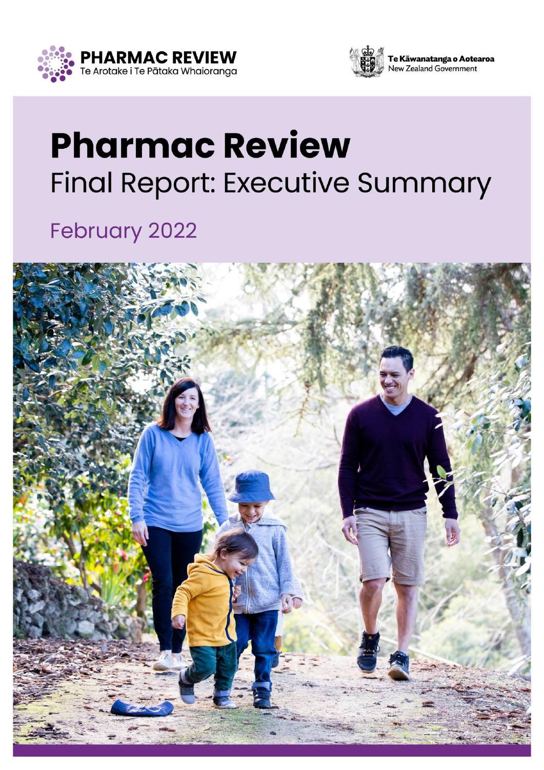



# **Pharmac Review Final Report: Executive Summary**

### **February 2022**

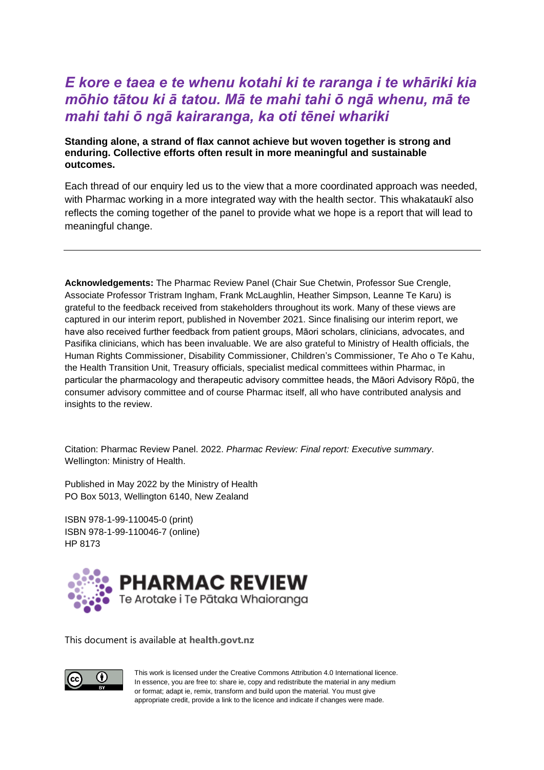### *E kore e taea e te whenu kotahi ki te raranga i te whāriki kia mōhio tātou ki ā tatou. Mā te mahi tahi ō ngā whenu, mā te mahi tahi ō ngā kairaranga, ka oti tēnei whariki*

#### **Standing alone, a strand of flax cannot achieve but woven together is strong and enduring. Collective efforts often result in more meaningful and sustainable outcomes.**

Each thread of our enquiry led us to the view that a more coordinated approach was needed, with Pharmac working in a more integrated way with the health sector. This whakataukī also reflects the coming together of the panel to provide what we hope is a report that will lead to meaningful change.

**Acknowledgements:** The Pharmac Review Panel (Chair Sue Chetwin, Professor Sue Crengle, Associate Professor Tristram Ingham, Frank McLaughlin, Heather Simpson, Leanne Te Karu) is grateful to the feedback received from stakeholders throughout its work. Many of these views are captured in our interim report, published in November 2021. Since finalising our interim report, we have also received further feedback from patient groups, Māori scholars, clinicians, advocates, and Pasifika clinicians, which has been invaluable. We are also grateful to Ministry of Health officials, the Human Rights Commissioner, Disability Commissioner, Children's Commissioner, Te Aho o Te Kahu, the Health Transition Unit, Treasury officials, specialist medical committees within Pharmac, in particular the pharmacology and therapeutic advisory committee heads, the Māori Advisory Rōpū, the consumer advisory committee and of course Pharmac itself, all who have contributed analysis and insights to the review.

Citation: Pharmac Review Panel. 2022. *Pharmac Review: Final report: Executive summary*. Wellington: Ministry of Health.

Published in May 2022 by the Ministry of Health PO Box 5013, Wellington 6140, New Zealand

ISBN 978-1-99-110045-0 (print) ISBN 978-1-99-110046-7 (online) HP 8173



This document is available at **[health.govt.nz](http://www.health.govt.nz/)**



This work is licensed under the Creative Commons Attribution 4.0 International licence. In essence, you are free to: share ie, copy and redistribute the material in any medium or format; adapt ie, remix, transform and build upon the material. You must give appropriate credit, provide a link to the licence and indicate if changes were made.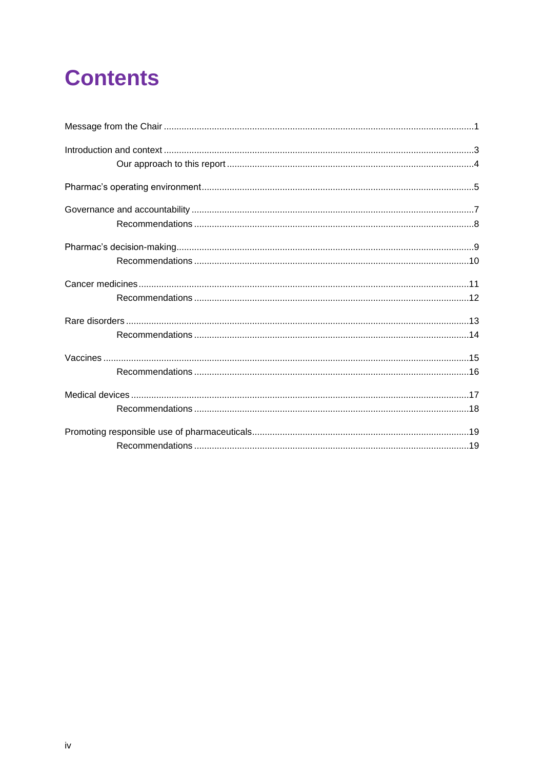## **Contents**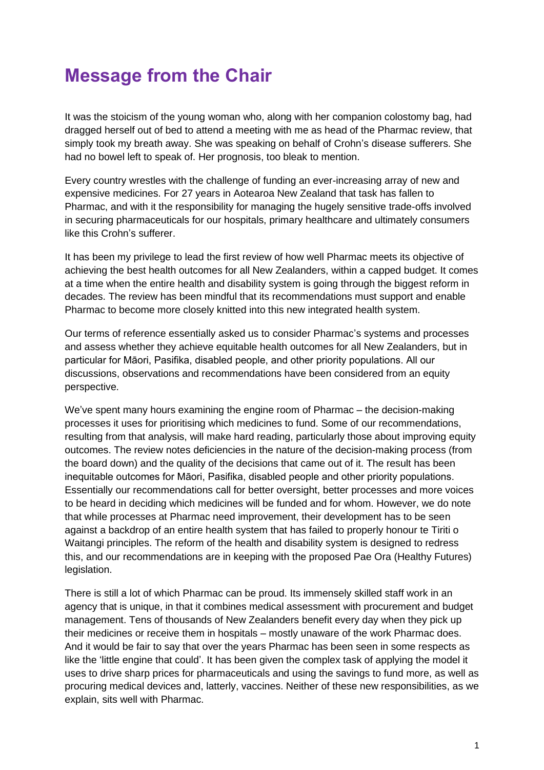### <span id="page-4-0"></span>**Message from the Chair**

It was the stoicism of the young woman who, along with her companion colostomy bag, had dragged herself out of bed to attend a meeting with me as head of the Pharmac review, that simply took my breath away. She was speaking on behalf of Crohn's disease sufferers. She had no bowel left to speak of. Her prognosis, too bleak to mention.

Every country wrestles with the challenge of funding an ever-increasing array of new and expensive medicines. For 27 years in Aotearoa New Zealand that task has fallen to Pharmac, and with it the responsibility for managing the hugely sensitive trade-offs involved in securing pharmaceuticals for our hospitals, primary healthcare and ultimately consumers like this Crohn's sufferer.

It has been my privilege to lead the first review of how well Pharmac meets its objective of achieving the best health outcomes for all New Zealanders, within a capped budget. It comes at a time when the entire health and disability system is going through the biggest reform in decades. The review has been mindful that its recommendations must support and enable Pharmac to become more closely knitted into this new integrated health system.

Our terms of reference essentially asked us to consider Pharmac's systems and processes and assess whether they achieve equitable health outcomes for all New Zealanders, but in particular for Māori, Pasifika, disabled people, and other priority populations. All our discussions, observations and recommendations have been considered from an equity perspective.

We've spent many hours examining the engine room of Pharmac – the decision-making processes it uses for prioritising which medicines to fund. Some of our recommendations, resulting from that analysis, will make hard reading, particularly those about improving equity outcomes. The review notes deficiencies in the nature of the decision-making process (from the board down) and the quality of the decisions that came out of it. The result has been inequitable outcomes for Māori, Pasifika, disabled people and other priority populations. Essentially our recommendations call for better oversight, better processes and more voices to be heard in deciding which medicines will be funded and for whom. However, we do note that while processes at Pharmac need improvement, their development has to be seen against a backdrop of an entire health system that has failed to properly honour te Tiriti o Waitangi principles. The reform of the health and disability system is designed to redress this, and our recommendations are in keeping with the proposed Pae Ora (Healthy Futures) legislation.

There is still a lot of which Pharmac can be proud. Its immensely skilled staff work in an agency that is unique, in that it combines medical assessment with procurement and budget management. Tens of thousands of New Zealanders benefit every day when they pick up their medicines or receive them in hospitals – mostly unaware of the work Pharmac does. And it would be fair to say that over the years Pharmac has been seen in some respects as like the 'little engine that could'. It has been given the complex task of applying the model it uses to drive sharp prices for pharmaceuticals and using the savings to fund more, as well as procuring medical devices and, latterly, vaccines. Neither of these new responsibilities, as we explain, sits well with Pharmac.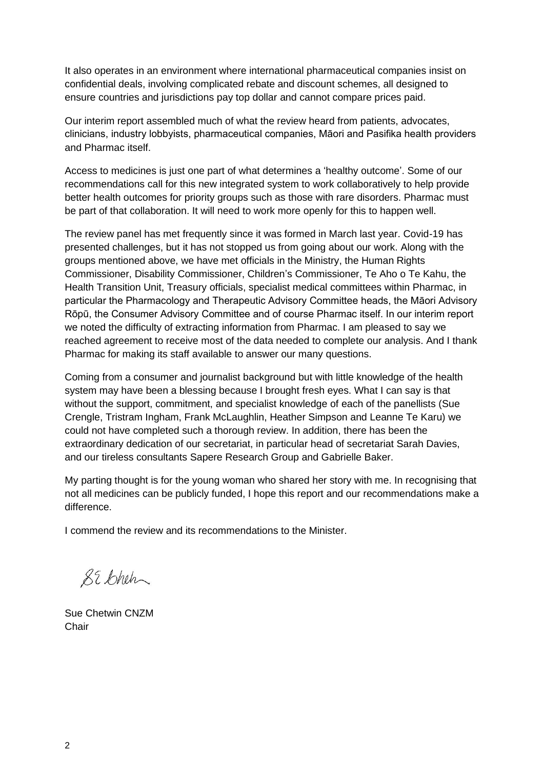It also operates in an environment where international pharmaceutical companies insist on confidential deals, involving complicated rebate and discount schemes, all designed to ensure countries and jurisdictions pay top dollar and cannot compare prices paid.

Our interim report assembled much of what the review heard from patients, advocates, clinicians, industry lobbyists, pharmaceutical companies, Māori and Pasifika health providers and Pharmac itself.

Access to medicines is just one part of what determines a 'healthy outcome'. Some of our recommendations call for this new integrated system to work collaboratively to help provide better health outcomes for priority groups such as those with rare disorders. Pharmac must be part of that collaboration. It will need to work more openly for this to happen well.

The review panel has met frequently since it was formed in March last year. Covid-19 has presented challenges, but it has not stopped us from going about our work. Along with the groups mentioned above, we have met officials in the Ministry, the Human Rights Commissioner, Disability Commissioner, Children's Commissioner, Te Aho o Te Kahu, the Health Transition Unit, Treasury officials, specialist medical committees within Pharmac, in particular the Pharmacology and Therapeutic Advisory Committee heads, the Māori Advisory Rōpū, the Consumer Advisory Committee and of course Pharmac itself. In our interim report we noted the difficulty of extracting information from Pharmac. I am pleased to say we reached agreement to receive most of the data needed to complete our analysis. And I thank Pharmac for making its staff available to answer our many questions.

Coming from a consumer and journalist background but with little knowledge of the health system may have been a blessing because I brought fresh eyes. What I can say is that without the support, commitment, and specialist knowledge of each of the panellists (Sue Crengle, Tristram Ingham, Frank McLaughlin, Heather Simpson and Leanne Te Karu) we could not have completed such a thorough review. In addition, there has been the extraordinary dedication of our secretariat, in particular head of secretariat Sarah Davies, and our tireless consultants Sapere Research Group and Gabrielle Baker.

My parting thought is for the young woman who shared her story with me. In recognising that not all medicines can be publicly funded, I hope this report and our recommendations make a difference.

I commend the review and its recommendations to the Minister.

89 Chen

Sue Chetwin CNZM **Chair**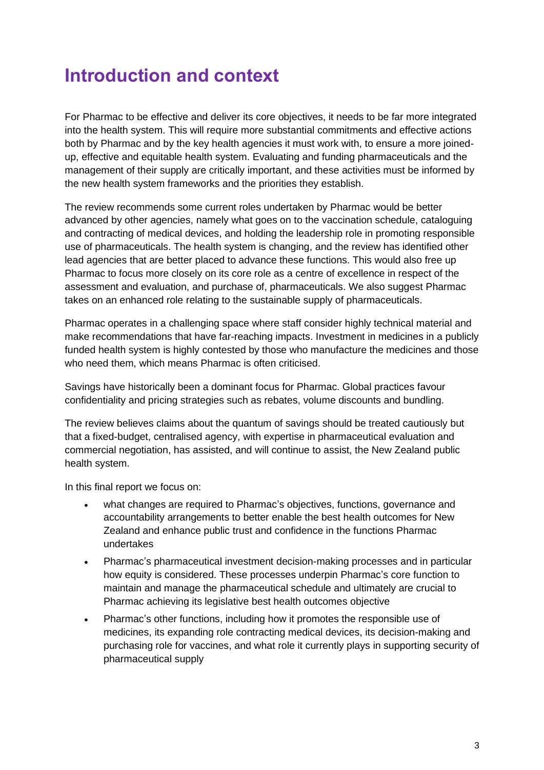### <span id="page-6-0"></span>**Introduction and context**

For Pharmac to be effective and deliver its core objectives, it needs to be far more integrated into the health system. This will require more substantial commitments and effective actions both by Pharmac and by the key health agencies it must work with, to ensure a more joinedup, effective and equitable health system. Evaluating and funding pharmaceuticals and the management of their supply are critically important, and these activities must be informed by the new health system frameworks and the priorities they establish.

The review recommends some current roles undertaken by Pharmac would be better advanced by other agencies, namely what goes on to the vaccination schedule, cataloguing and contracting of medical devices, and holding the leadership role in promoting responsible use of pharmaceuticals. The health system is changing, and the review has identified other lead agencies that are better placed to advance these functions. This would also free up Pharmac to focus more closely on its core role as a centre of excellence in respect of the assessment and evaluation, and purchase of, pharmaceuticals. We also suggest Pharmac takes on an enhanced role relating to the sustainable supply of pharmaceuticals.

Pharmac operates in a challenging space where staff consider highly technical material and make recommendations that have far-reaching impacts. Investment in medicines in a publicly funded health system is highly contested by those who manufacture the medicines and those who need them, which means Pharmac is often criticised.

Savings have historically been a dominant focus for Pharmac. Global practices favour confidentiality and pricing strategies such as rebates, volume discounts and bundling.

The review believes claims about the quantum of savings should be treated cautiously but that a fixed-budget, centralised agency, with expertise in pharmaceutical evaluation and commercial negotiation, has assisted, and will continue to assist, the New Zealand public health system.

In this final report we focus on:

- what changes are required to Pharmac's objectives, functions, governance and accountability arrangements to better enable the best health outcomes for New Zealand and enhance public trust and confidence in the functions Pharmac undertakes
- Pharmac's pharmaceutical investment decision-making processes and in particular how equity is considered. These processes underpin Pharmac's core function to maintain and manage the pharmaceutical schedule and ultimately are crucial to Pharmac achieving its legislative best health outcomes objective
- Pharmac's other functions, including how it promotes the responsible use of medicines, its expanding role contracting medical devices, its decision-making and purchasing role for vaccines, and what role it currently plays in supporting security of pharmaceutical supply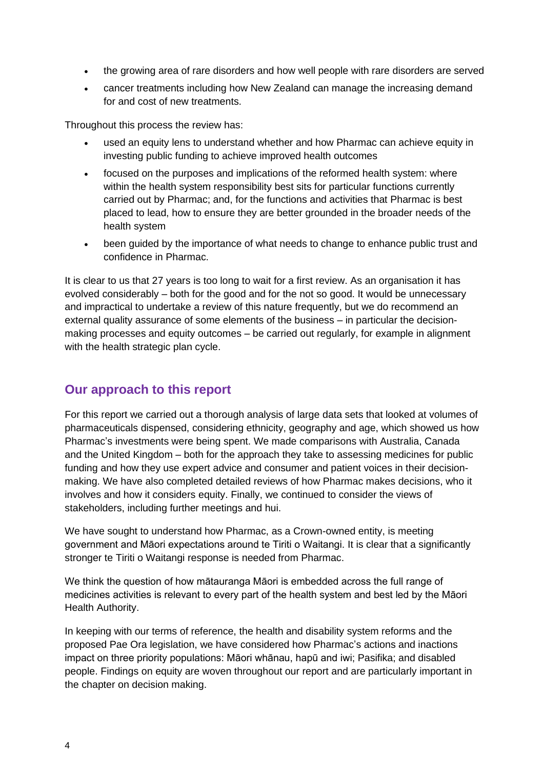- the growing area of rare disorders and how well people with rare disorders are served
- cancer treatments including how New Zealand can manage the increasing demand for and cost of new treatments.

Throughout this process the review has:

- used an equity lens to understand whether and how Pharmac can achieve equity in investing public funding to achieve improved health outcomes
- focused on the purposes and implications of the reformed health system: where within the health system responsibility best sits for particular functions currently carried out by Pharmac; and, for the functions and activities that Pharmac is best placed to lead, how to ensure they are better grounded in the broader needs of the health system
- been guided by the importance of what needs to change to enhance public trust and confidence in Pharmac.

It is clear to us that 27 years is too long to wait for a first review. As an organisation it has evolved considerably – both for the good and for the not so good. It would be unnecessary and impractical to undertake a review of this nature frequently, but we do recommend an external quality assurance of some elements of the business – in particular the decisionmaking processes and equity outcomes – be carried out regularly, for example in alignment with the health strategic plan cycle.

#### <span id="page-7-0"></span>**Our approach to this report**

For this report we carried out a thorough analysis of large data sets that looked at volumes of pharmaceuticals dispensed, considering ethnicity, geography and age, which showed us how Pharmac's investments were being spent. We made comparisons with Australia, Canada and the United Kingdom – both for the approach they take to assessing medicines for public funding and how they use expert advice and consumer and patient voices in their decisionmaking. We have also completed detailed reviews of how Pharmac makes decisions, who it involves and how it considers equity. Finally, we continued to consider the views of stakeholders, including further meetings and hui.

We have sought to understand how Pharmac, as a Crown-owned entity, is meeting government and Māori expectations around te Tiriti o Waitangi. It is clear that a significantly stronger te Tiriti o Waitangi response is needed from Pharmac.

We think the question of how mātauranga Māori is embedded across the full range of medicines activities is relevant to every part of the health system and best led by the Māori Health Authority.

In keeping with our terms of reference, the health and disability system reforms and the proposed Pae Ora legislation, we have considered how Pharmac's actions and inactions impact on three priority populations: Māori whānau, hapū and iwi; Pasifika; and disabled people. Findings on equity are woven throughout our report and are particularly important in the chapter on decision making.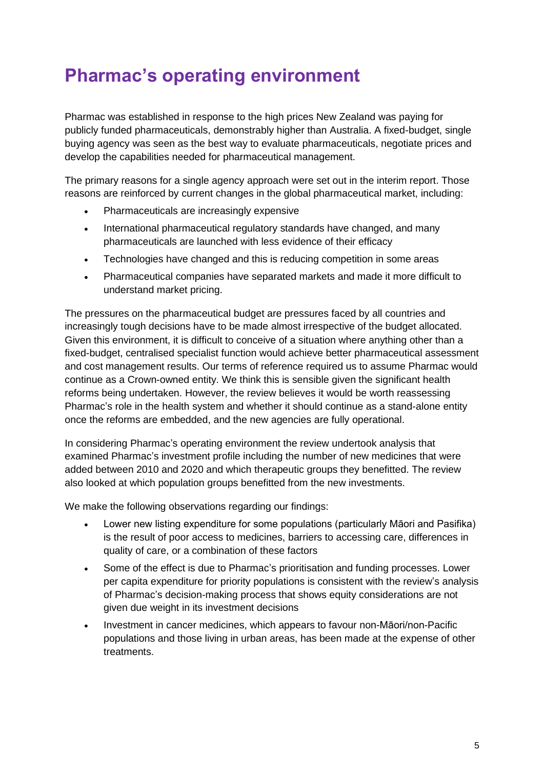### <span id="page-8-0"></span>**Pharmac's operating environment**

Pharmac was established in response to the high prices New Zealand was paying for publicly funded pharmaceuticals, demonstrably higher than Australia. A fixed-budget, single buying agency was seen as the best way to evaluate pharmaceuticals, negotiate prices and develop the capabilities needed for pharmaceutical management.

The primary reasons for a single agency approach were set out in the interim report. Those reasons are reinforced by current changes in the global pharmaceutical market, including:

- Pharmaceuticals are increasingly expensive
- International pharmaceutical regulatory standards have changed, and many pharmaceuticals are launched with less evidence of their efficacy
- Technologies have changed and this is reducing competition in some areas
- Pharmaceutical companies have separated markets and made it more difficult to understand market pricing.

The pressures on the pharmaceutical budget are pressures faced by all countries and increasingly tough decisions have to be made almost irrespective of the budget allocated. Given this environment, it is difficult to conceive of a situation where anything other than a fixed-budget, centralised specialist function would achieve better pharmaceutical assessment and cost management results. Our terms of reference required us to assume Pharmac would continue as a Crown-owned entity. We think this is sensible given the significant health reforms being undertaken. However, the review believes it would be worth reassessing Pharmac's role in the health system and whether it should continue as a stand-alone entity once the reforms are embedded, and the new agencies are fully operational.

In considering Pharmac's operating environment the review undertook analysis that examined Pharmac's investment profile including the number of new medicines that were added between 2010 and 2020 and which therapeutic groups they benefitted. The review also looked at which population groups benefitted from the new investments.

We make the following observations regarding our findings:

- Lower new listing expenditure for some populations (particularly Māori and Pasifika) is the result of poor access to medicines, barriers to accessing care, differences in quality of care, or a combination of these factors
- Some of the effect is due to Pharmac's prioritisation and funding processes. Lower per capita expenditure for priority populations is consistent with the review's analysis of Pharmac's decision-making process that shows equity considerations are not given due weight in its investment decisions
- Investment in cancer medicines, which appears to favour non-Māori/non-Pacific populations and those living in urban areas, has been made at the expense of other treatments.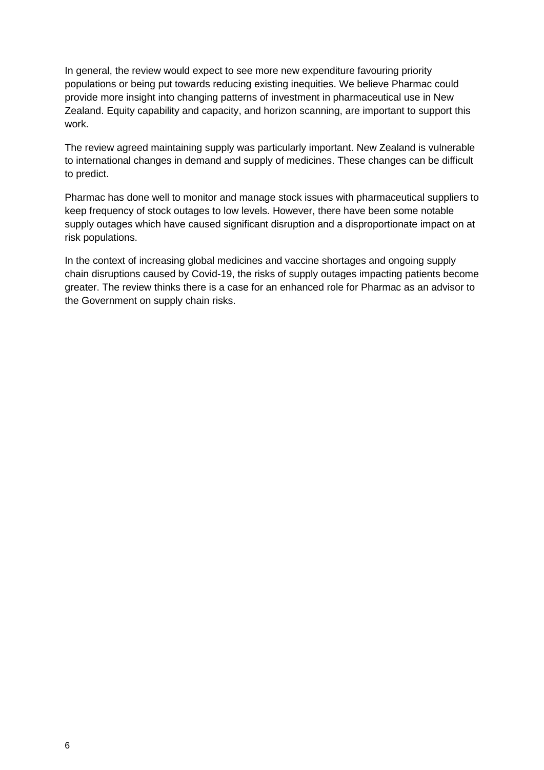In general, the review would expect to see more new expenditure favouring priority populations or being put towards reducing existing inequities. We believe Pharmac could provide more insight into changing patterns of investment in pharmaceutical use in New Zealand. Equity capability and capacity, and horizon scanning, are important to support this work.

The review agreed maintaining supply was particularly important. New Zealand is vulnerable to international changes in demand and supply of medicines. These changes can be difficult to predict.

Pharmac has done well to monitor and manage stock issues with pharmaceutical suppliers to keep frequency of stock outages to low levels. However, there have been some notable supply outages which have caused significant disruption and a disproportionate impact on at risk populations.

In the context of increasing global medicines and vaccine shortages and ongoing supply chain disruptions caused by Covid-19, the risks of supply outages impacting patients become greater. The review thinks there is a case for an enhanced role for Pharmac as an advisor to the Government on supply chain risks.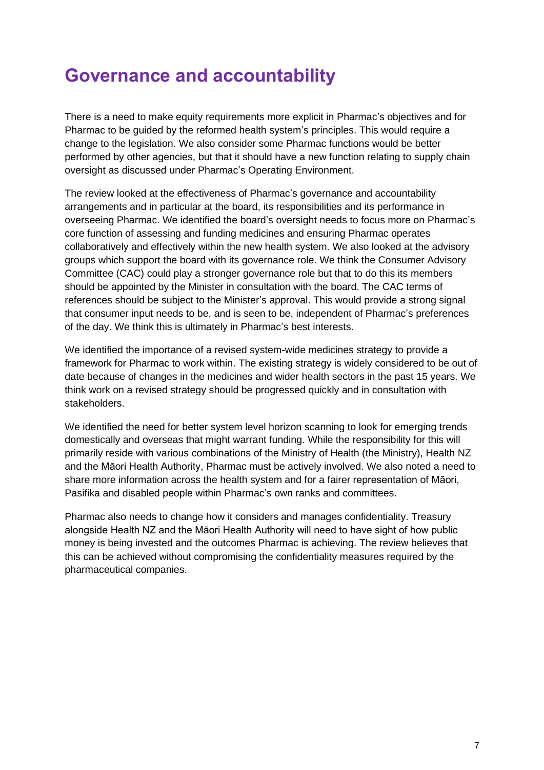### <span id="page-10-0"></span>**Governance and accountability**

There is a need to make equity requirements more explicit in Pharmac's objectives and for Pharmac to be guided by the reformed health system's principles. This would require a change to the legislation. We also consider some Pharmac functions would be better performed by other agencies, but that it should have a new function relating to supply chain oversight as discussed under Pharmac's Operating Environment.

The review looked at the effectiveness of Pharmac's governance and accountability arrangements and in particular at the board, its responsibilities and its performance in overseeing Pharmac. We identified the board's oversight needs to focus more on Pharmac's core function of assessing and funding medicines and ensuring Pharmac operates collaboratively and effectively within the new health system. We also looked at the advisory groups which support the board with its governance role. We think the Consumer Advisory Committee (CAC) could play a stronger governance role but that to do this its members should be appointed by the Minister in consultation with the board. The CAC terms of references should be subject to the Minister's approval. This would provide a strong signal that consumer input needs to be, and is seen to be, independent of Pharmac's preferences of the day. We think this is ultimately in Pharmac's best interests.

We identified the importance of a revised system-wide medicines strategy to provide a framework for Pharmac to work within. The existing strategy is widely considered to be out of date because of changes in the medicines and wider health sectors in the past 15 years. We think work on a revised strategy should be progressed quickly and in consultation with stakeholders.

We identified the need for better system level horizon scanning to look for emerging trends domestically and overseas that might warrant funding. While the responsibility for this will primarily reside with various combinations of the Ministry of Health (the Ministry), Health NZ and the Māori Health Authority, Pharmac must be actively involved. We also noted a need to share more information across the health system and for a fairer representation of Māori, Pasifika and disabled people within Pharmac's own ranks and committees.

Pharmac also needs to change how it considers and manages confidentiality. Treasury alongside Health NZ and the Māori Health Authority will need to have sight of how public money is being invested and the outcomes Pharmac is achieving. The review believes that this can be achieved without compromising the confidentiality measures required by the pharmaceutical companies.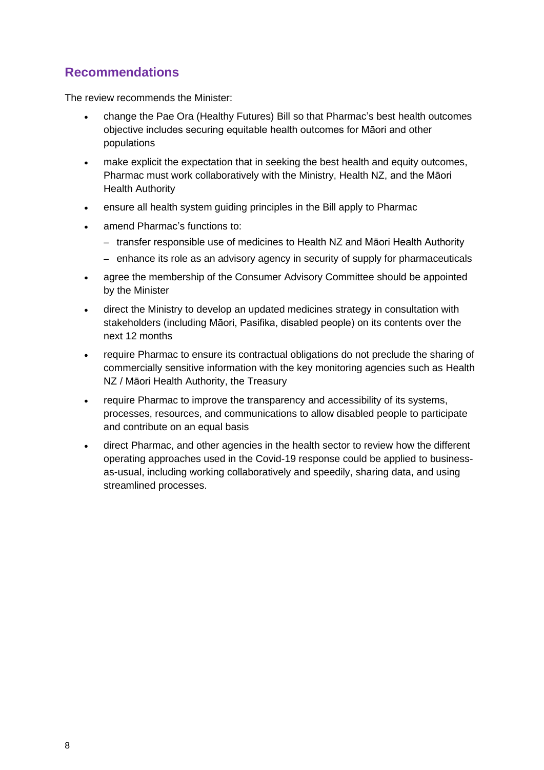<span id="page-11-0"></span>The review recommends the Minister:

- change the Pae Ora (Healthy Futures) Bill so that Pharmac's best health outcomes objective includes securing equitable health outcomes for Māori and other populations
- make explicit the expectation that in seeking the best health and equity outcomes, Pharmac must work collaboratively with the Ministry, Health NZ, and the Māori Health Authority
- ensure all health system guiding principles in the Bill apply to Pharmac
- amend Pharmac's functions to:
	- transfer responsible use of medicines to Health NZ and Māori Health Authority
	- enhance its role as an advisory agency in security of supply for pharmaceuticals
- agree the membership of the Consumer Advisory Committee should be appointed by the Minister
- direct the Ministry to develop an updated medicines strategy in consultation with stakeholders (including Māori, Pasifika, disabled people) on its contents over the next 12 months
- require Pharmac to ensure its contractual obligations do not preclude the sharing of commercially sensitive information with the key monitoring agencies such as Health NZ / Māori Health Authority, the Treasury
- require Pharmac to improve the transparency and accessibility of its systems, processes, resources, and communications to allow disabled people to participate and contribute on an equal basis
- direct Pharmac, and other agencies in the health sector to review how the different operating approaches used in the Covid-19 response could be applied to businessas-usual, including working collaboratively and speedily, sharing data, and using streamlined processes.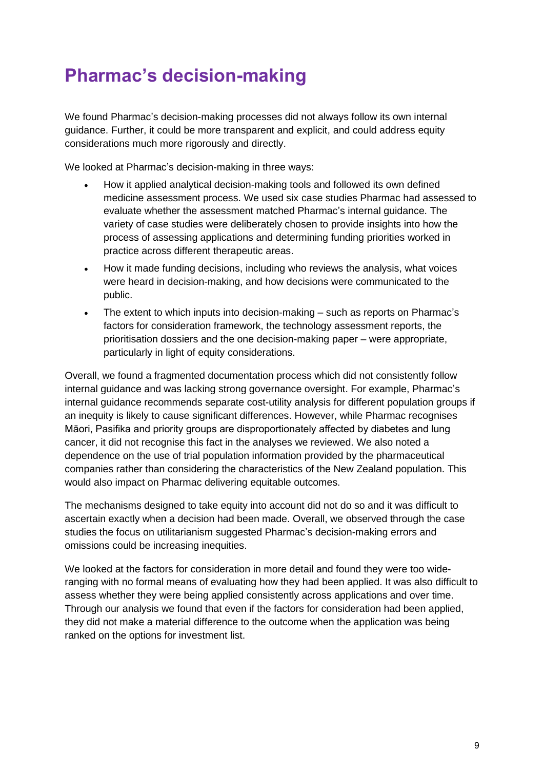### <span id="page-12-0"></span>**Pharmac's decision-making**

We found Pharmac's decision-making processes did not always follow its own internal guidance. Further, it could be more transparent and explicit, and could address equity considerations much more rigorously and directly.

We looked at Pharmac's decision-making in three ways:

- How it applied analytical decision-making tools and followed its own defined medicine assessment process. We used six case studies Pharmac had assessed to evaluate whether the assessment matched Pharmac's internal guidance. The variety of case studies were deliberately chosen to provide insights into how the process of assessing applications and determining funding priorities worked in practice across different therapeutic areas.
- How it made funding decisions, including who reviews the analysis, what voices were heard in decision-making, and how decisions were communicated to the public.
- The extent to which inputs into decision-making such as reports on Pharmac's factors for consideration framework, the technology assessment reports, the prioritisation dossiers and the one decision-making paper – were appropriate, particularly in light of equity considerations.

Overall, we found a fragmented documentation process which did not consistently follow internal guidance and was lacking strong governance oversight. For example, Pharmac's internal guidance recommends separate cost-utility analysis for different population groups if an inequity is likely to cause significant differences. However, while Pharmac recognises Māori, Pasifika and priority groups are disproportionately affected by diabetes and lung cancer, it did not recognise this fact in the analyses we reviewed. We also noted a dependence on the use of trial population information provided by the pharmaceutical companies rather than considering the characteristics of the New Zealand population. This would also impact on Pharmac delivering equitable outcomes.

The mechanisms designed to take equity into account did not do so and it was difficult to ascertain exactly when a decision had been made. Overall, we observed through the case studies the focus on utilitarianism suggested Pharmac's decision-making errors and omissions could be increasing inequities.

We looked at the factors for consideration in more detail and found they were too wideranging with no formal means of evaluating how they had been applied. It was also difficult to assess whether they were being applied consistently across applications and over time. Through our analysis we found that even if the factors for consideration had been applied, they did not make a material difference to the outcome when the application was being ranked on the options for investment list.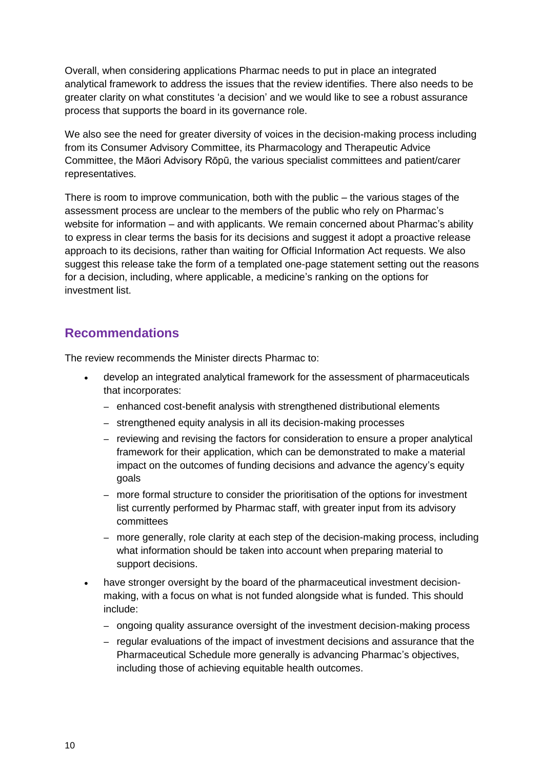Overall, when considering applications Pharmac needs to put in place an integrated analytical framework to address the issues that the review identifies. There also needs to be greater clarity on what constitutes 'a decision' and we would like to see a robust assurance process that supports the board in its governance role.

We also see the need for greater diversity of voices in the decision-making process including from its Consumer Advisory Committee, its Pharmacology and Therapeutic Advice Committee, the Māori Advisory Rōpū, the various specialist committees and patient/carer representatives.

There is room to improve communication, both with the public – the various stages of the assessment process are unclear to the members of the public who rely on Pharmac's website for information – and with applicants. We remain concerned about Pharmac's ability to express in clear terms the basis for its decisions and suggest it adopt a proactive release approach to its decisions, rather than waiting for Official Information Act requests. We also suggest this release take the form of a templated one-page statement setting out the reasons for a decision, including, where applicable, a medicine's ranking on the options for investment list.

#### <span id="page-13-0"></span>**Recommendations**

The review recommends the Minister directs Pharmac to:

- develop an integrated analytical framework for the assessment of pharmaceuticals that incorporates:
	- enhanced cost-benefit analysis with strengthened distributional elements
	- strengthened equity analysis in all its decision-making processes
	- reviewing and revising the factors for consideration to ensure a proper analytical framework for their application, which can be demonstrated to make a material impact on the outcomes of funding decisions and advance the agency's equity goals
	- more formal structure to consider the prioritisation of the options for investment list currently performed by Pharmac staff, with greater input from its advisory committees
	- more generally, role clarity at each step of the decision-making process, including what information should be taken into account when preparing material to support decisions.
- have stronger oversight by the board of the pharmaceutical investment decisionmaking, with a focus on what is not funded alongside what is funded. This should include:
	- ongoing quality assurance oversight of the investment decision-making process
	- regular evaluations of the impact of investment decisions and assurance that the Pharmaceutical Schedule more generally is advancing Pharmac's objectives, including those of achieving equitable health outcomes.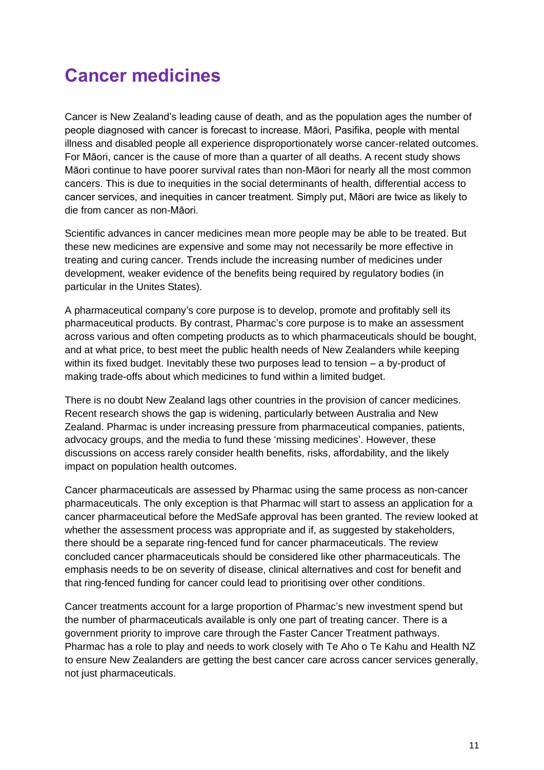### <span id="page-14-0"></span>**Cancer medicines**

Cancer is New Zealand's leading cause of death, and as the population ages the number of people diagnosed with cancer is forecast to increase. Māori, Pasifika, people with mental illness and disabled people all experience disproportionately worse cancer-related outcomes. For Māori, cancer is the cause of more than a quarter of all deaths. A recent study shows Māori continue to have poorer survival rates than non-Māori for nearly all the most common cancers. This is due to inequities in the social determinants of health, differential access to cancer services, and inequities in cancer treatment. Simply put, Māori are twice as likely to die from cancer as non-Māori.

Scientific advances in cancer medicines mean more people may be able to be treated. But these new medicines are expensive and some may not necessarily be more effective in treating and curing cancer. Trends include the increasing number of medicines under development, weaker evidence of the benefits being required by regulatory bodies (in particular in the Unites States).

A pharmaceutical company's core purpose is to develop, promote and profitably sell its pharmaceutical products. By contrast, Pharmac's core purpose is to make an assessment across various and often competing products as to which pharmaceuticals should be bought, and at what price, to best meet the public health needs of New Zealanders while keeping within its fixed budget. Inevitably these two purposes lead to tension – a by-product of making trade-offs about which medicines to fund within a limited budget.

There is no doubt New Zealand lags other countries in the provision of cancer medicines. Recent research shows the gap is widening, particularly between Australia and New Zealand. Pharmac is under increasing pressure from pharmaceutical companies, patients, advocacy groups, and the media to fund these 'missing medicines'. However, these discussions on access rarely consider health benefits, risks, affordability, and the likely impact on population health outcomes.

Cancer pharmaceuticals are assessed by Pharmac using the same process as non-cancer pharmaceuticals. The only exception is that Pharmac will start to assess an application for a cancer pharmaceutical before the MedSafe approval has been granted. The review looked at whether the assessment process was appropriate and if, as suggested by stakeholders, there should be a separate ring-fenced fund for cancer pharmaceuticals. The review concluded cancer pharmaceuticals should be considered like other pharmaceuticals. The emphasis needs to be on severity of disease, clinical alternatives and cost for benefit and that ring-fenced funding for cancer could lead to prioritising over other conditions.

Cancer treatments account for a large proportion of Pharmac's new investment spend but the number of pharmaceuticals available is only one part of treating cancer. There is a government priority to improve care through the Faster Cancer Treatment pathways. Pharmac has a role to play and needs to work closely with Te Aho o Te Kahu and Health NZ to ensure New Zealanders are getting the best cancer care across cancer services generally, not just pharmaceuticals.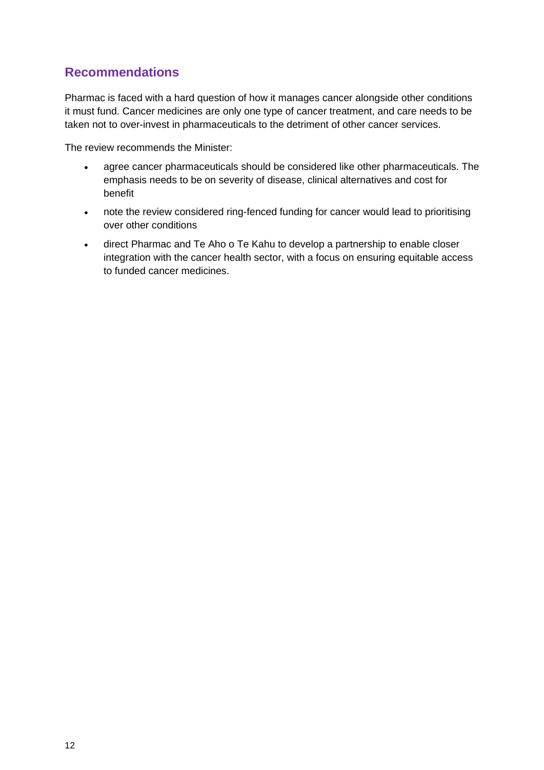<span id="page-15-0"></span>Pharmac is faced with a hard question of how it manages cancer alongside other conditions it must fund. Cancer medicines are only one type of cancer treatment, and care needs to be taken not to over-invest in pharmaceuticals to the detriment of other cancer services.

The review recommends the Minister:

- agree cancer pharmaceuticals should be considered like other pharmaceuticals. The emphasis needs to be on severity of disease, clinical alternatives and cost for benefit
- note the review considered ring-fenced funding for cancer would lead to prioritising over other conditions
- direct Pharmac and Te Aho o Te Kahu to develop a partnership to enable closer integration with the cancer health sector, with a focus on ensuring equitable access to funded cancer medicines.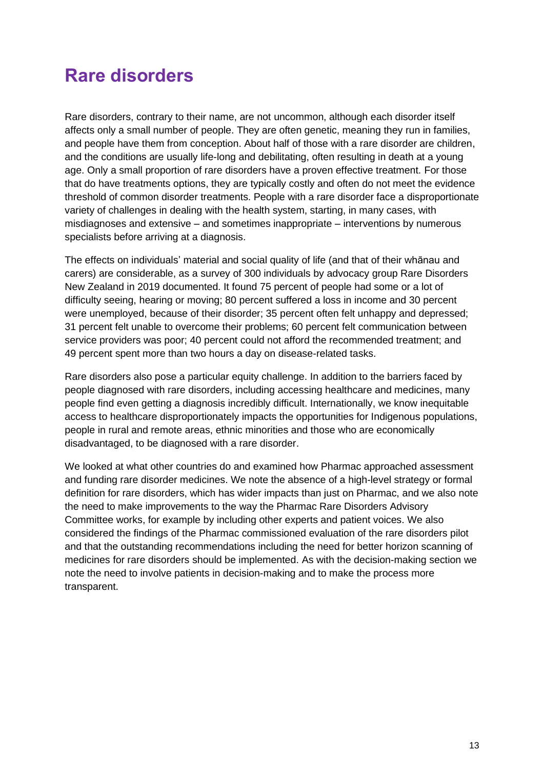### <span id="page-16-0"></span>**Rare disorders**

Rare disorders, contrary to their name, are not uncommon, although each disorder itself affects only a small number of people. They are often genetic, meaning they run in families, and people have them from conception. About half of those with a rare disorder are children, and the conditions are usually life-long and debilitating, often resulting in death at a young age. Only a small proportion of rare disorders have a proven effective treatment. For those that do have treatments options, they are typically costly and often do not meet the evidence threshold of common disorder treatments. People with a rare disorder face a disproportionate variety of challenges in dealing with the health system, starting, in many cases, with misdiagnoses and extensive – and sometimes inappropriate – interventions by numerous specialists before arriving at a diagnosis.

The effects on individuals' material and social quality of life (and that of their whānau and carers) are considerable, as a survey of 300 individuals by advocacy group Rare Disorders New Zealand in 2019 documented. It found 75 percent of people had some or a lot of difficulty seeing, hearing or moving; 80 percent suffered a loss in income and 30 percent were unemployed, because of their disorder; 35 percent often felt unhappy and depressed; 31 percent felt unable to overcome their problems; 60 percent felt communication between service providers was poor; 40 percent could not afford the recommended treatment; and 49 percent spent more than two hours a day on disease-related tasks.

Rare disorders also pose a particular equity challenge. In addition to the barriers faced by people diagnosed with rare disorders, including accessing healthcare and medicines, many people find even getting a diagnosis incredibly difficult. Internationally, we know inequitable access to healthcare disproportionately impacts the opportunities for Indigenous populations, people in rural and remote areas, ethnic minorities and those who are economically disadvantaged, to be diagnosed with a rare disorder.

We looked at what other countries do and examined how Pharmac approached assessment and funding rare disorder medicines. We note the absence of a high-level strategy or formal definition for rare disorders, which has wider impacts than just on Pharmac, and we also note the need to make improvements to the way the Pharmac Rare Disorders Advisory Committee works, for example by including other experts and patient voices. We also considered the findings of the Pharmac commissioned evaluation of the rare disorders pilot and that the outstanding recommendations including the need for better horizon scanning of medicines for rare disorders should be implemented. As with the decision-making section we note the need to involve patients in decision-making and to make the process more transparent.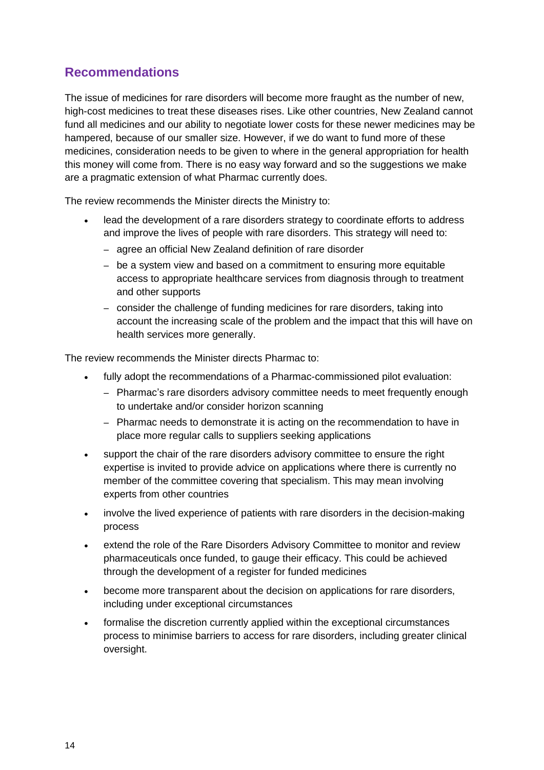<span id="page-17-0"></span>The issue of medicines for rare disorders will become more fraught as the number of new, high-cost medicines to treat these diseases rises. Like other countries, New Zealand cannot fund all medicines and our ability to negotiate lower costs for these newer medicines may be hampered, because of our smaller size. However, if we do want to fund more of these medicines, consideration needs to be given to where in the general appropriation for health this money will come from. There is no easy way forward and so the suggestions we make are a pragmatic extension of what Pharmac currently does.

The review recommends the Minister directs the Ministry to:

- lead the development of a rare disorders strategy to coordinate efforts to address and improve the lives of people with rare disorders. This strategy will need to:
	- agree an official New Zealand definition of rare disorder
	- be a system view and based on a commitment to ensuring more equitable access to appropriate healthcare services from diagnosis through to treatment and other supports
	- consider the challenge of funding medicines for rare disorders, taking into account the increasing scale of the problem and the impact that this will have on health services more generally.

The review recommends the Minister directs Pharmac to:

- fully adopt the recommendations of a Pharmac-commissioned pilot evaluation:
	- Pharmac's rare disorders advisory committee needs to meet frequently enough to undertake and/or consider horizon scanning
	- Pharmac needs to demonstrate it is acting on the recommendation to have in place more regular calls to suppliers seeking applications
- support the chair of the rare disorders advisory committee to ensure the right expertise is invited to provide advice on applications where there is currently no member of the committee covering that specialism. This may mean involving experts from other countries
- involve the lived experience of patients with rare disorders in the decision-making process
- extend the role of the Rare Disorders Advisory Committee to monitor and review pharmaceuticals once funded, to gauge their efficacy. This could be achieved through the development of a register for funded medicines
- become more transparent about the decision on applications for rare disorders, including under exceptional circumstances
- formalise the discretion currently applied within the exceptional circumstances process to minimise barriers to access for rare disorders, including greater clinical oversight.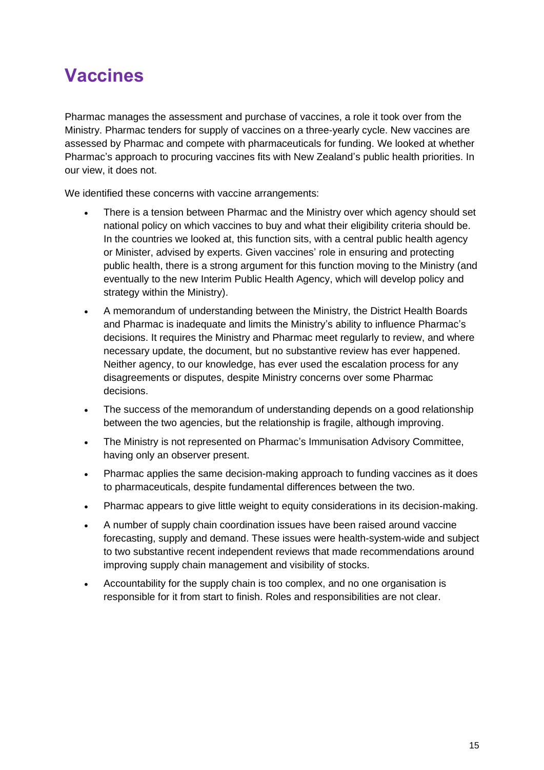### <span id="page-18-0"></span>**Vaccines**

Pharmac manages the assessment and purchase of vaccines, a role it took over from the Ministry. Pharmac tenders for supply of vaccines on a three-yearly cycle. New vaccines are assessed by Pharmac and compete with pharmaceuticals for funding. We looked at whether Pharmac's approach to procuring vaccines fits with New Zealand's public health priorities. In our view, it does not.

We identified these concerns with vaccine arrangements:

- There is a tension between Pharmac and the Ministry over which agency should set national policy on which vaccines to buy and what their eligibility criteria should be. In the countries we looked at, this function sits, with a central public health agency or Minister, advised by experts. Given vaccines' role in ensuring and protecting public health, there is a strong argument for this function moving to the Ministry (and eventually to the new Interim Public Health Agency, which will develop policy and strategy within the Ministry).
- A memorandum of understanding between the Ministry, the District Health Boards and Pharmac is inadequate and limits the Ministry's ability to influence Pharmac's decisions. It requires the Ministry and Pharmac meet regularly to review, and where necessary update, the document, but no substantive review has ever happened. Neither agency, to our knowledge, has ever used the escalation process for any disagreements or disputes, despite Ministry concerns over some Pharmac decisions.
- The success of the memorandum of understanding depends on a good relationship between the two agencies, but the relationship is fragile, although improving.
- The Ministry is not represented on Pharmac's Immunisation Advisory Committee, having only an observer present.
- Pharmac applies the same decision-making approach to funding vaccines as it does to pharmaceuticals, despite fundamental differences between the two.
- Pharmac appears to give little weight to equity considerations in its decision-making.
- A number of supply chain coordination issues have been raised around vaccine forecasting, supply and demand. These issues were health-system-wide and subject to two substantive recent independent reviews that made recommendations around improving supply chain management and visibility of stocks.
- Accountability for the supply chain is too complex, and no one organisation is responsible for it from start to finish. Roles and responsibilities are not clear.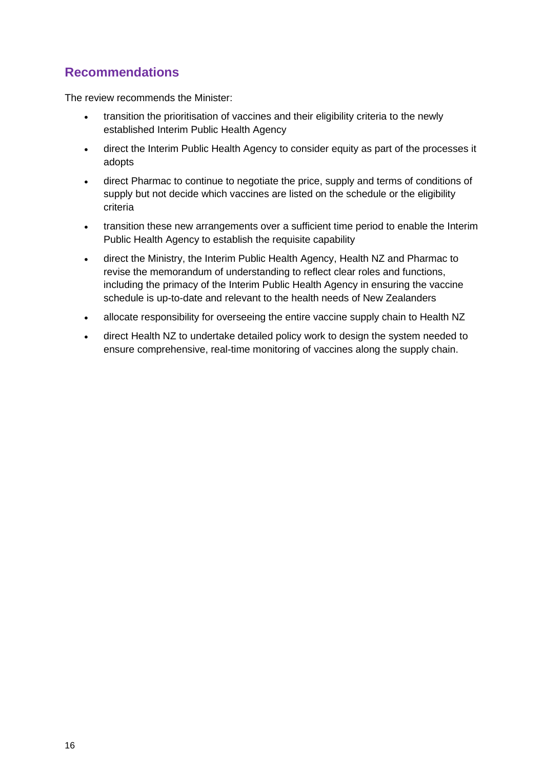<span id="page-19-0"></span>The review recommends the Minister:

- transition the prioritisation of vaccines and their eligibility criteria to the newly established Interim Public Health Agency
- direct the Interim Public Health Agency to consider equity as part of the processes it adopts
- direct Pharmac to continue to negotiate the price, supply and terms of conditions of supply but not decide which vaccines are listed on the schedule or the eligibility criteria
- transition these new arrangements over a sufficient time period to enable the Interim Public Health Agency to establish the requisite capability
- direct the Ministry, the Interim Public Health Agency, Health NZ and Pharmac to revise the memorandum of understanding to reflect clear roles and functions, including the primacy of the Interim Public Health Agency in ensuring the vaccine schedule is up-to-date and relevant to the health needs of New Zealanders
- allocate responsibility for overseeing the entire vaccine supply chain to Health NZ
- direct Health NZ to undertake detailed policy work to design the system needed to ensure comprehensive, real-time monitoring of vaccines along the supply chain.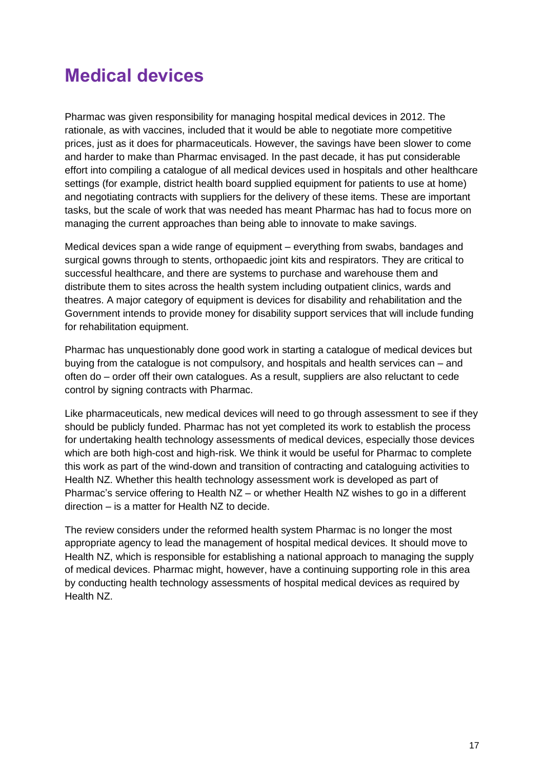### <span id="page-20-0"></span>**Medical devices**

Pharmac was given responsibility for managing hospital medical devices in 2012. The rationale, as with vaccines, included that it would be able to negotiate more competitive prices, just as it does for pharmaceuticals. However, the savings have been slower to come and harder to make than Pharmac envisaged. In the past decade, it has put considerable effort into compiling a catalogue of all medical devices used in hospitals and other healthcare settings (for example, district health board supplied equipment for patients to use at home) and negotiating contracts with suppliers for the delivery of these items. These are important tasks, but the scale of work that was needed has meant Pharmac has had to focus more on managing the current approaches than being able to innovate to make savings.

Medical devices span a wide range of equipment – everything from swabs, bandages and surgical gowns through to stents, orthopaedic joint kits and respirators. They are critical to successful healthcare, and there are systems to purchase and warehouse them and distribute them to sites across the health system including outpatient clinics, wards and theatres. A major category of equipment is devices for disability and rehabilitation and the Government intends to provide money for disability support services that will include funding for rehabilitation equipment.

Pharmac has unquestionably done good work in starting a catalogue of medical devices but buying from the catalogue is not compulsory, and hospitals and health services can – and often do – order off their own catalogues. As a result, suppliers are also reluctant to cede control by signing contracts with Pharmac.

Like pharmaceuticals, new medical devices will need to go through assessment to see if they should be publicly funded. Pharmac has not yet completed its work to establish the process for undertaking health technology assessments of medical devices, especially those devices which are both high-cost and high-risk. We think it would be useful for Pharmac to complete this work as part of the wind-down and transition of contracting and cataloguing activities to Health NZ. Whether this health technology assessment work is developed as part of Pharmac's service offering to Health NZ – or whether Health NZ wishes to go in a different direction – is a matter for Health NZ to decide.

The review considers under the reformed health system Pharmac is no longer the most appropriate agency to lead the management of hospital medical devices. It should move to Health NZ, which is responsible for establishing a national approach to managing the supply of medical devices. Pharmac might, however, have a continuing supporting role in this area by conducting health technology assessments of hospital medical devices as required by Health NZ.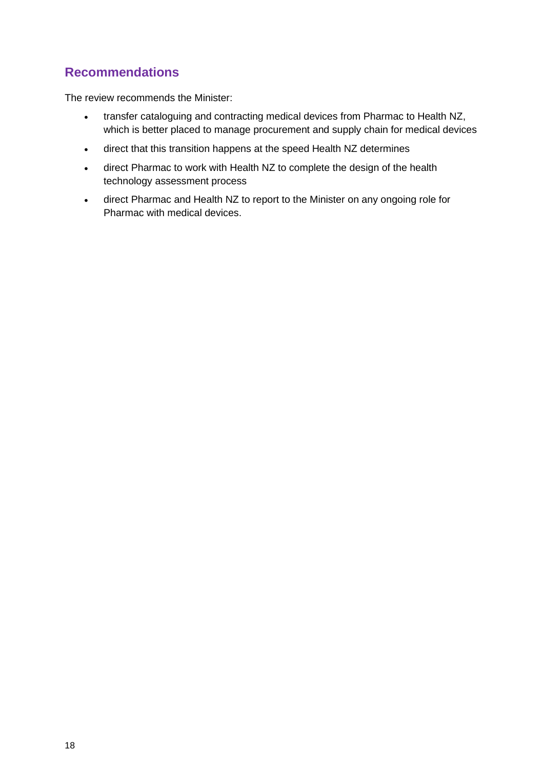<span id="page-21-0"></span>The review recommends the Minister:

- transfer cataloguing and contracting medical devices from Pharmac to Health NZ, which is better placed to manage procurement and supply chain for medical devices
- direct that this transition happens at the speed Health NZ determines
- direct Pharmac to work with Health NZ to complete the design of the health technology assessment process
- direct Pharmac and Health NZ to report to the Minister on any ongoing role for Pharmac with medical devices.